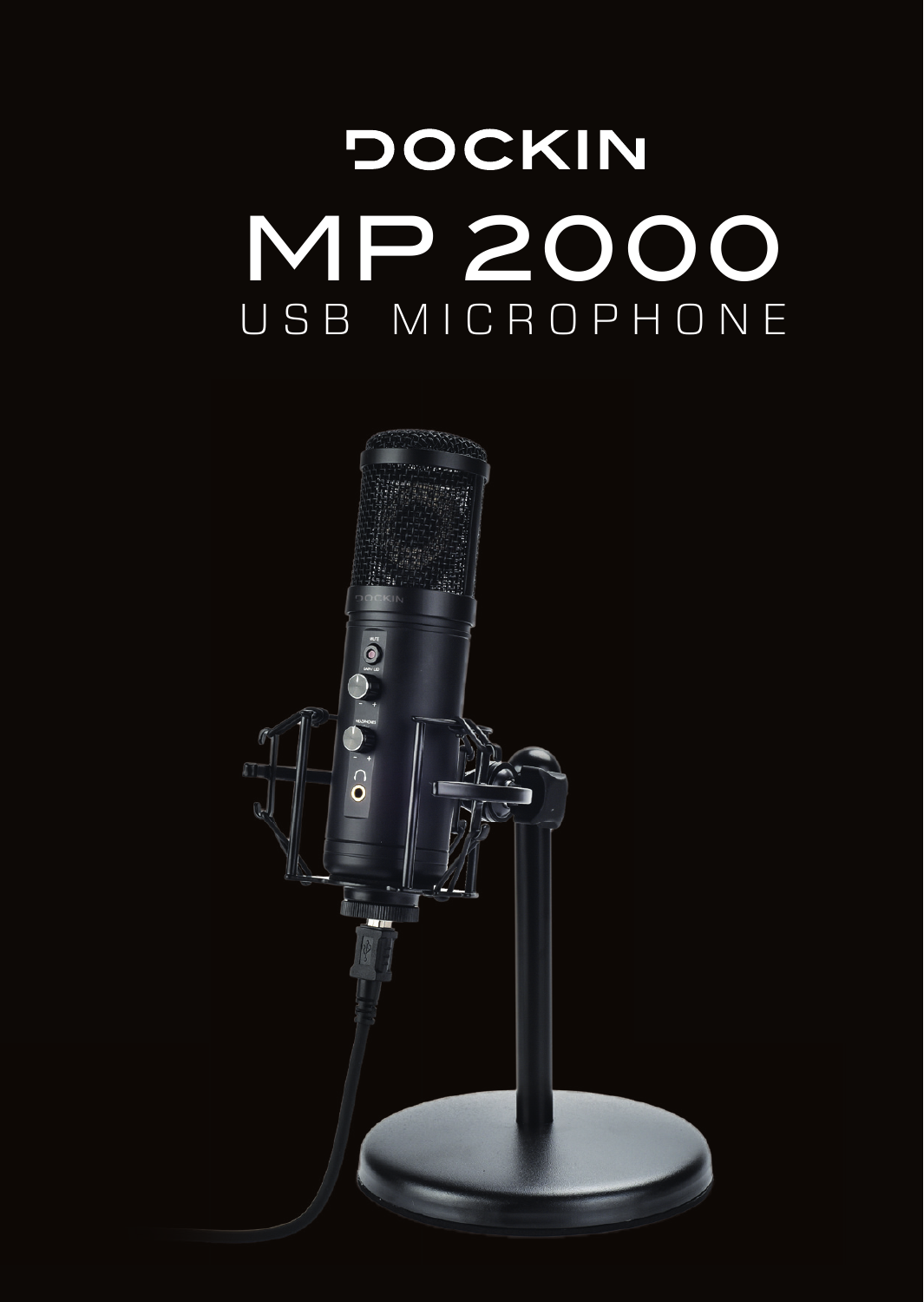# **DOCKIN** MP 2000

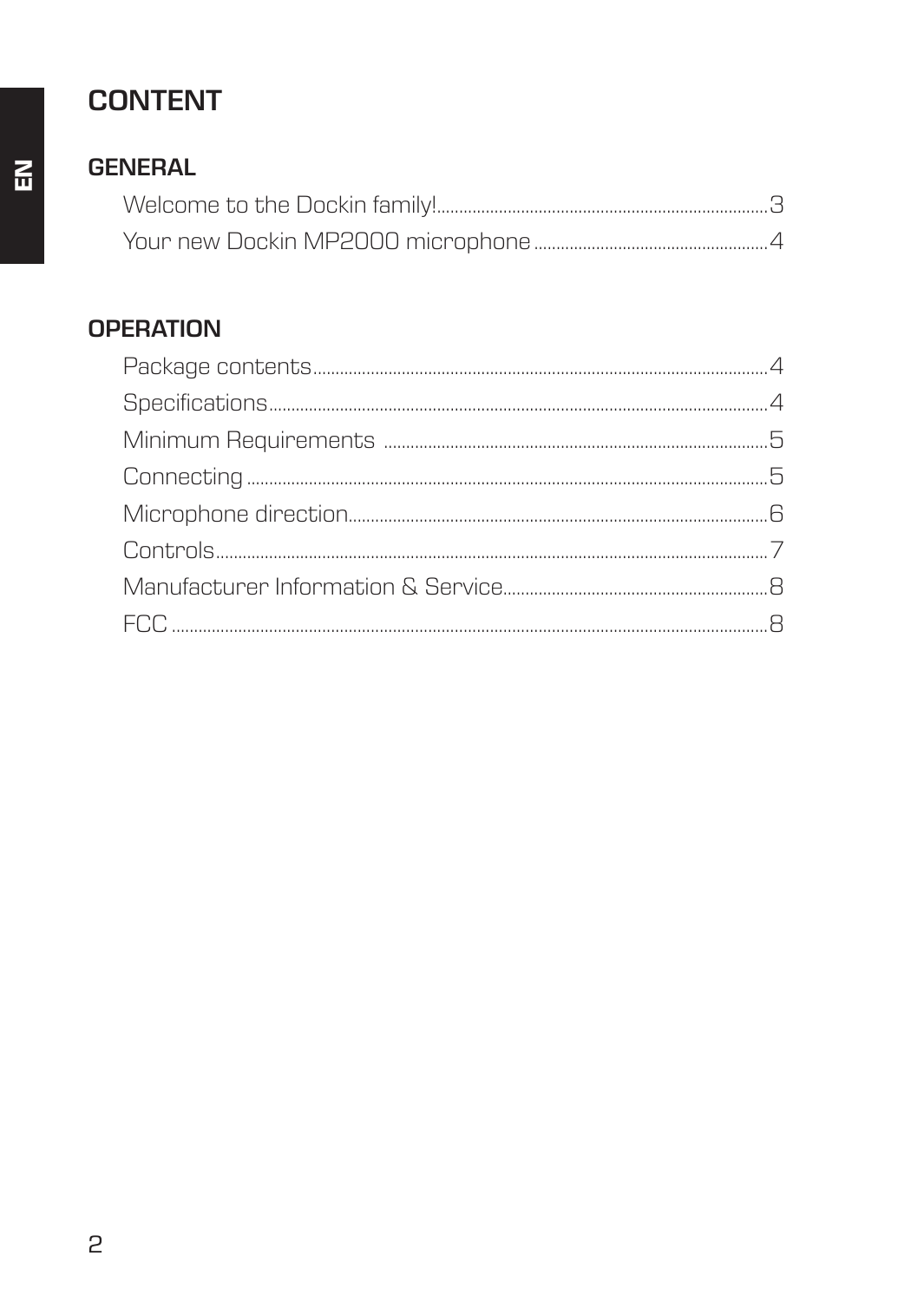# **CONTENT**

#### **GENERAL**

#### **OPERATION**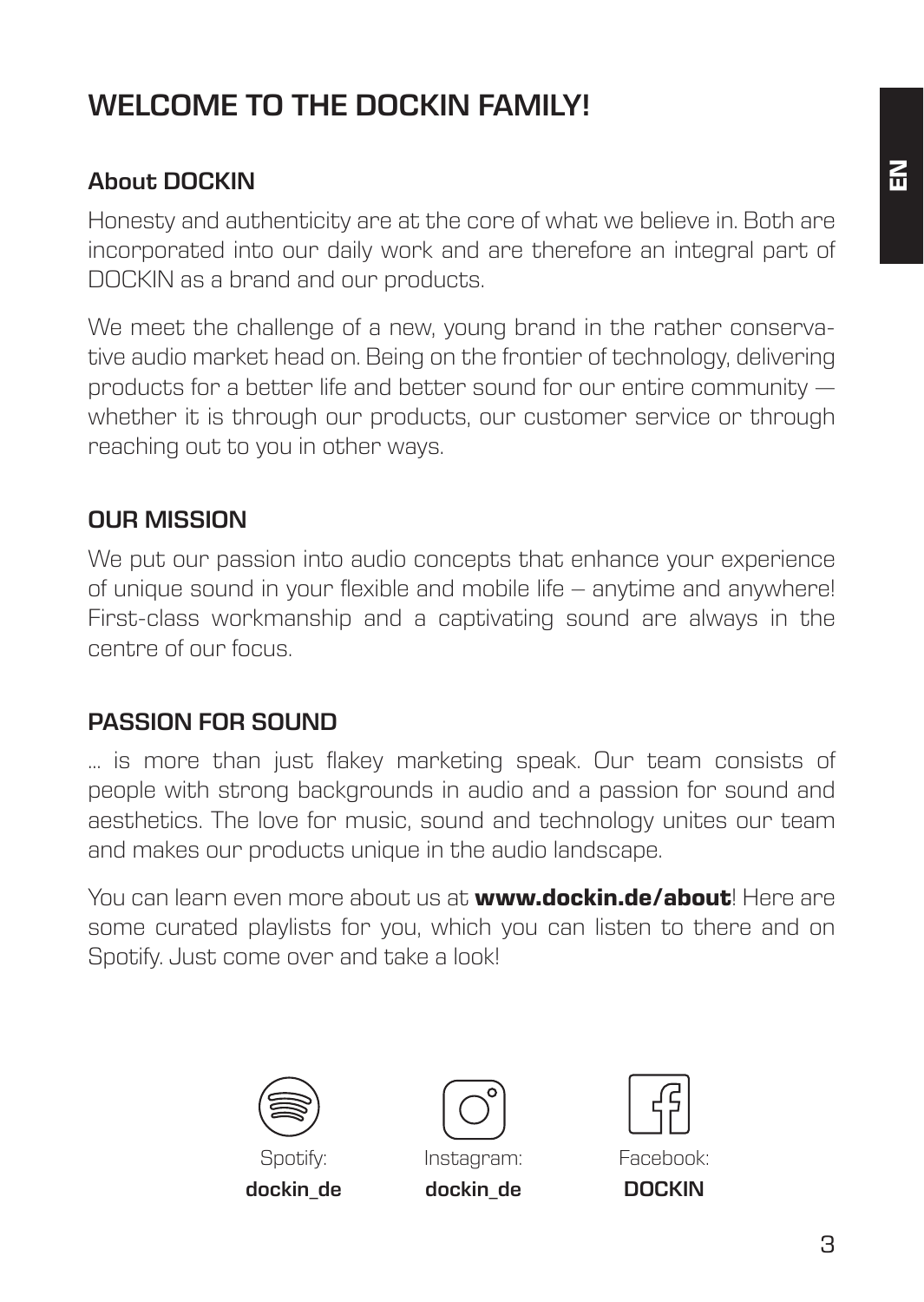# **WELCOME TO THE DOCKIN FAMILY!**

#### **About DOCKIN**

Honesty and authenticity are at the core of what we believe in. Both are incorporated into our daily work and are therefore an integral part of DOCKIN as a brand and our products.

We meet the challenge of a new, young brand in the rather conservative audio market head on. Being on the frontier of technology, delivering products for a better life and better sound for our entire community whether it is through our products, our customer service or through reaching out to you in other ways.

#### **OUR MISSION**

We put our passion into audio concepts that enhance your experience of unique sound in your flexible and mobile life – anytime and anywhere! First-class workmanship and a captivating sound are always in the centre of our focus.

#### **PASSION FOR SOUND**

… is more than just flakey marketing speak. Our team consists of people with strong backgrounds in audio and a passion for sound and aesthetics. The love for music, sound and technology unites our team and makes our products unique in the audio landscape.

You can learn even more about us at **www.dockin.de/about**! Here are some curated playlists for you, which you can listen to there and on Spotify. Just come over and take a look!





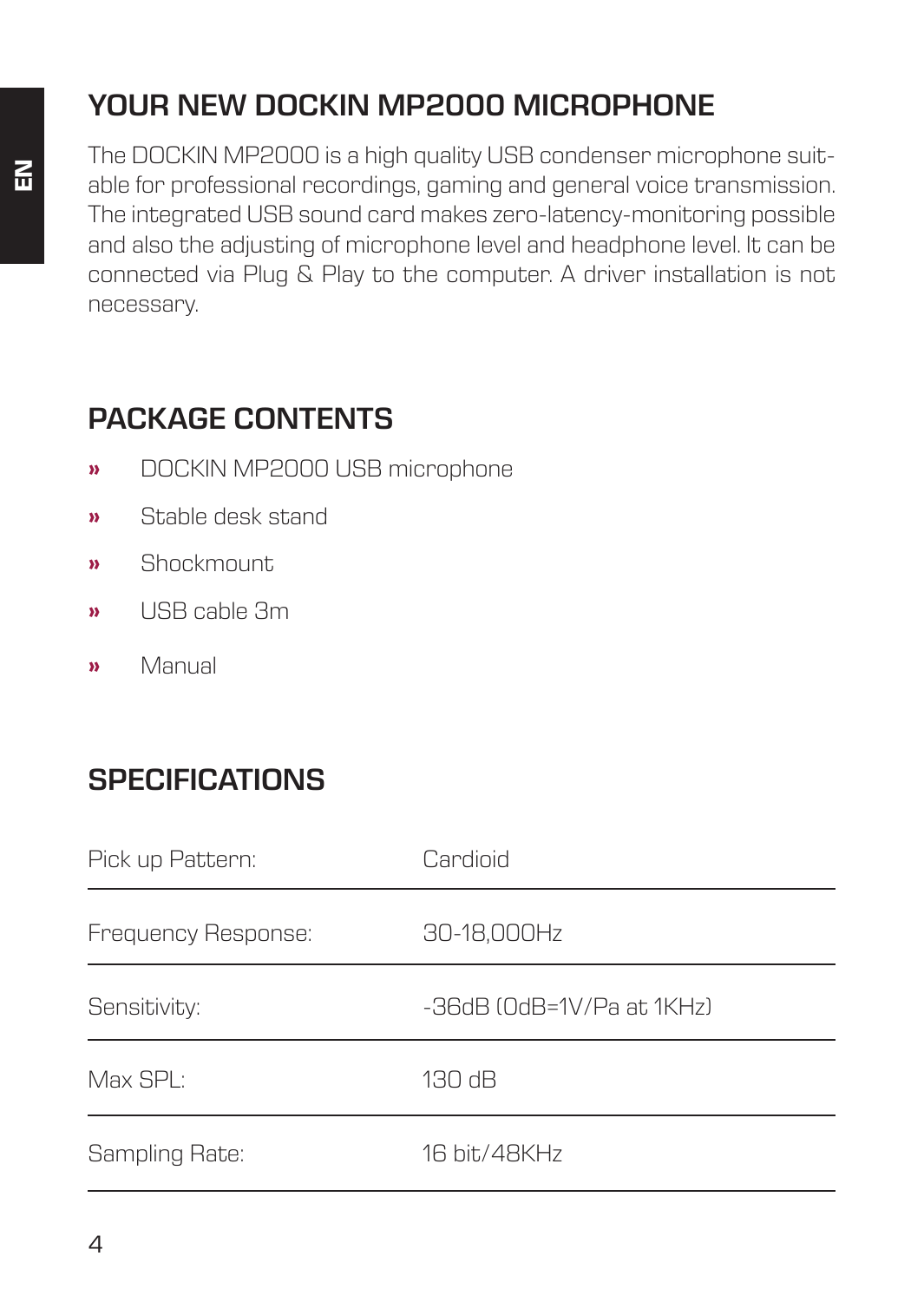# **YOUR NEW DOCKIN MP2000 MICROPHONE**

The DOCKIN MP2000 is a high quality USB condenser microphone suitable for professional recordings, gaming and general voice transmission. The integrated USB sound card makes zero-latency-monitoring possible and also the adjusting of microphone level and headphone level. It can be connected via Plug & Play to the computer. A driver installation is not necessary.

## **PACKAGE CONTENTS**

- **»** DOCKIN MP2000 USB microphone
- **»** Stable desk stand
- **»** Shockmount
- **»** USB cable 3m
- **»** Manual

# **SPECIFICATIONS**

| Pick up Pattern:    | Cardioid                  |
|---------------------|---------------------------|
| Frequency Response: | 30-18,000Hz               |
| Sensitivity:        | -36dB (OdB=1V/Pa at 1KHz) |
| Max SPI:            | 130 dB                    |
| Sampling Rate:      | 16 hit/48KHz              |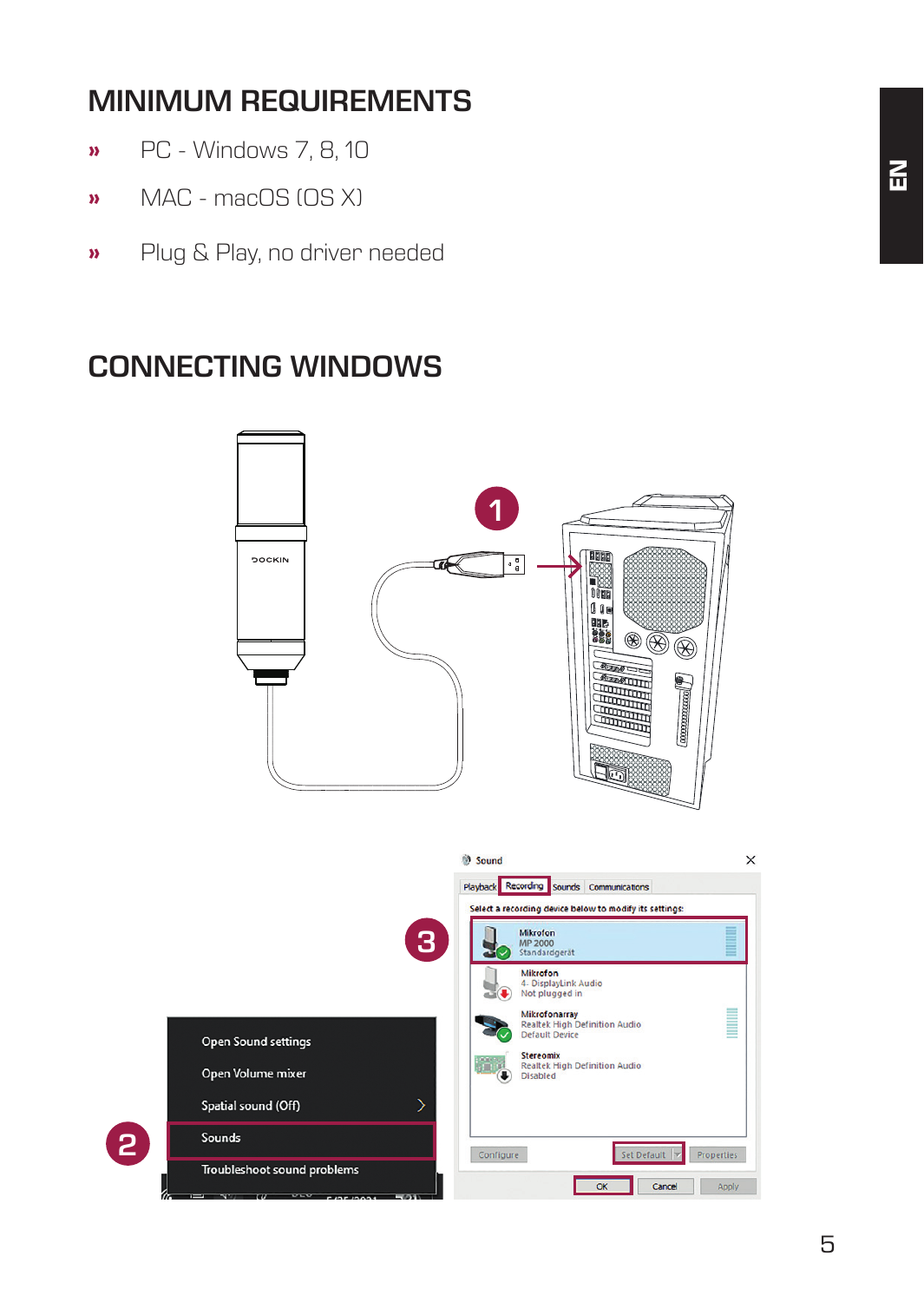# **MINIMUM REQUIREMENTS**

- **»** PC Windows 7, 8, 10
- **»** MAC macOS (OS X)
- **»** Plug & Play, no driver needed

## **CONNECTING WINDOWS**

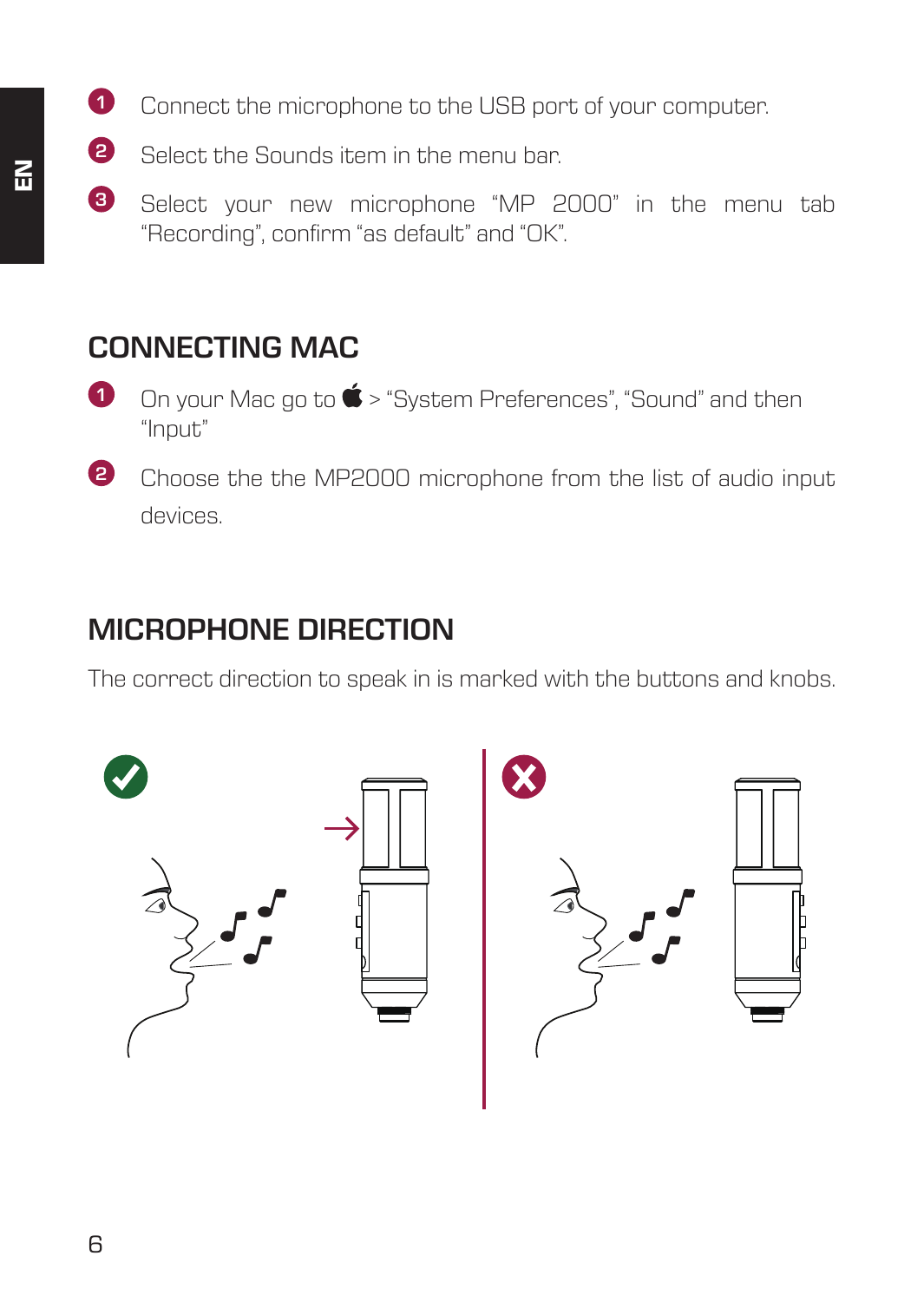- **1** Connect the microphone to the USB port of your computer.
- **2** Select the Sounds item in the menu bar.
- **3** Select your new microphone "MP 2000" in the menu tab "Recording", confirm "as default" and "OK".

## **CONNECTING MAC**

- **1** On your Mac go to  $\bullet$  > "System Preferences", "Sound" and then "Input"
- **2** Choose the the MP2000 microphone from the list of audio input devices.

## **MICROPHONE DIRECTION**

The correct direction to speak in is marked with the buttons and knobs.

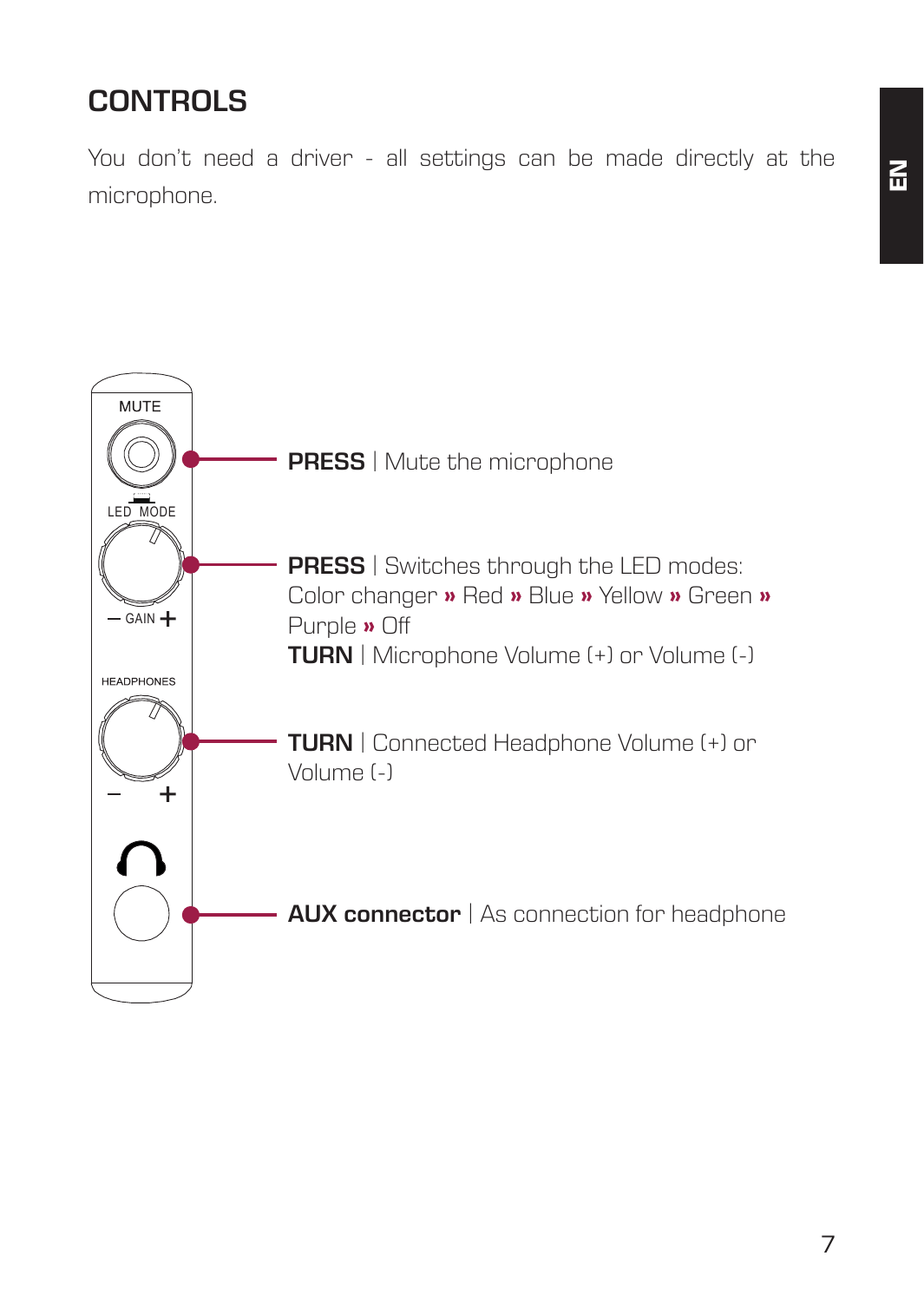# **CONTROLS**

You don't need a driver - all settings can be made directly at the microphone.

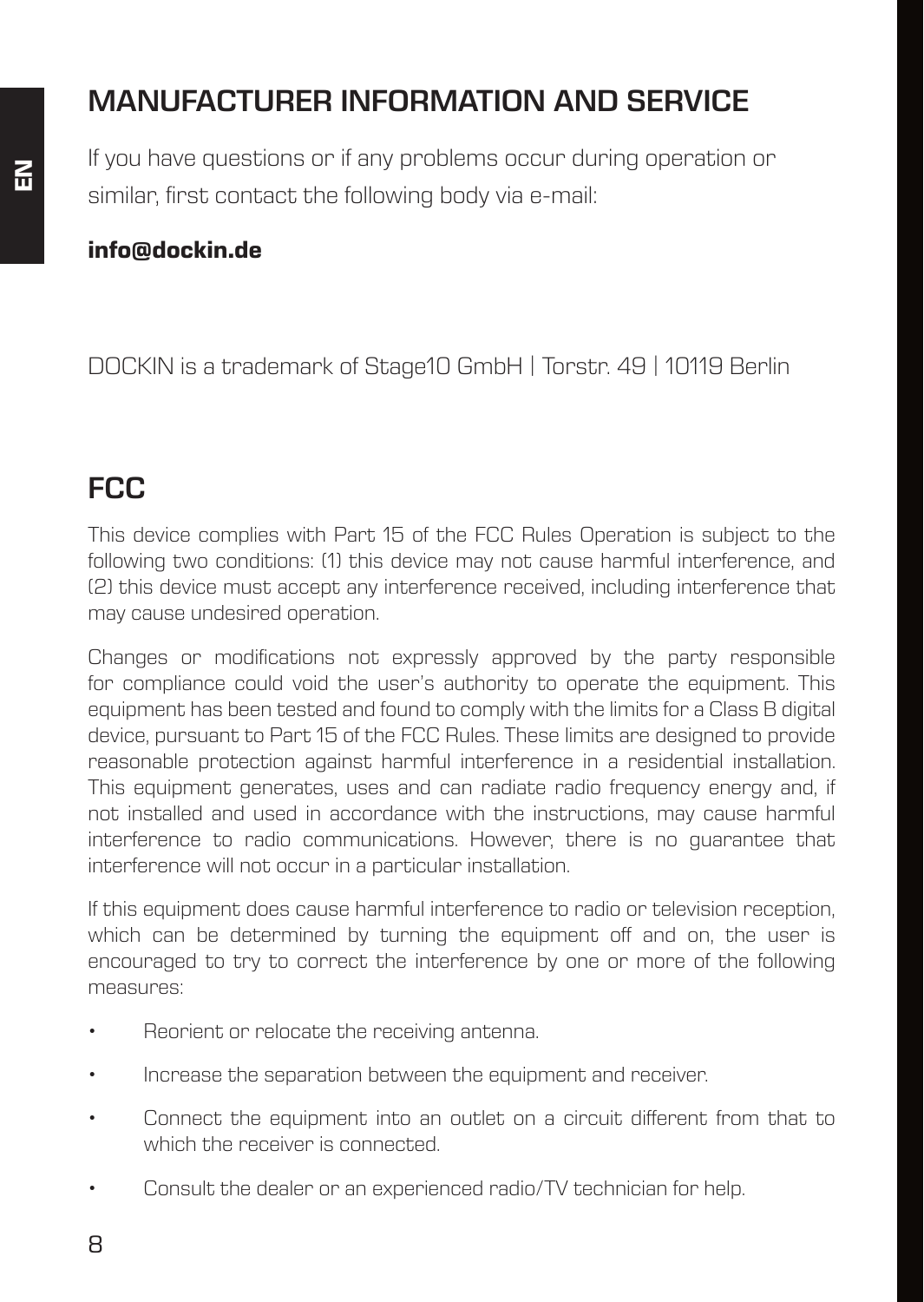# **MANUFACTURER INFORMATION AND SERVICE**

If you have questions or if any problems occur during operation or similar, first contact the following body via e-mail:

#### **info@dockin.de**

DOCKIN is a trademark of Stage10 GmbH | Torstr. 49 | 10119 Berlin

#### **FCC**

This device complies with Part 15 of the FCC Rules Operation is subject to the following two conditions: (1) this device may not cause harmful interference, and (2) this device must accept any interference received, including interference that may cause undesired operation.

Changes or modifications not expressly approved by the party responsible for compliance could void the user's authority to operate the equipment. This equipment has been tested and found to comply with the limits for a Class B digital device, pursuant to Part 15 of the FCC Rules. These limits are designed to provide reasonable protection against harmful interference in a residential installation. This equipment generates, uses and can radiate radio frequency energy and, if not installed and used in accordance with the instructions, may cause harmful interference to radio communications. However, there is no guarantee that interference will not occur in a particular installation.

If this equipment does cause harmful interference to radio or television reception, which can be determined by turning the equipment off and on, the user is encouraged to try to correct the interference by one or more of the following measures:

- Reorient or relocate the receiving antenna.
- Increase the separation between the equipment and receiver.
- Connect the equipment into an outlet on a circuit different from that to which the receiver is connected.
- Consult the dealer or an experienced radio/TV technician for help.